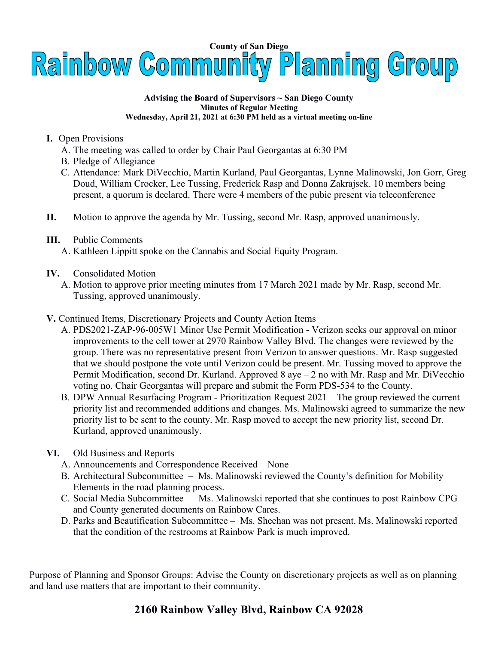

## **Advising the Board of Supervisors ~ San Diego County Minutes of Regular Meeting Wednesday, April 21, 2021 at 6:30 PM held as a virtual meeting on-line**

- **I.** Open Provisions
	- A. The meeting was called to order by Chair Paul Georgantas at 6:30 PM
	- B. Pledge of Allegiance
	- C. Attendance: Mark DiVecchio, Martin Kurland, Paul Georgantas, Lynne Malinowski, Jon Gorr, Greg Doud, William Crocker, Lee Tussing, Frederick Rasp and Donna Zakrajsek. 10 members being present, a quorum is declared. There were 4 members of the pubic present via teleconference
- **II.** Motion to approve the agenda by Mr. Tussing, second Mr. Rasp, approved unanimously.

## **III.** Public Comments A. Kathleen Lippitt spoke on the Cannabis and Social Equity Program.

- **IV.** Consolidated Motion
	- A. Motion to approve prior meeting minutes from 17 March 2021 made by Mr. Rasp, second Mr. Tussing, approved unanimously.
- **V.** Continued Items, Discretionary Projects and County Action Items
	- A. PDS2021-ZAP-96-005W1 Minor Use Permit Modification Verizon seeks our approval on minor improvements to the cell tower at 2970 Rainbow Valley Blvd. The changes were reviewed by the group. There was no representative present from Verizon to answer questions. Mr. Rasp suggested that we should postpone the vote until Verizon could be present. Mr. Tussing moved to approve the Permit Modification, second Dr. Kurland. Approved 8 aye – 2 no with Mr. Rasp and Mr. DiVecchio voting no. Chair Georgantas will prepare and submit the Form PDS-534 to the County.
	- B. DPW Annual Resurfacing Program Prioritization Request 2021 The group reviewed the current priority list and recommended additions and changes. Ms. Malinowski agreed to summarize the new priority list to be sent to the county. Mr. Rasp moved to accept the new priority list, second Dr. Kurland, approved unanimously.
- **VI.** Old Business and Reports
	- A. Announcements and Correspondence Received None
	- B. Architectural Subcommittee Ms. Malinowski reviewed the County's definition for Mobility Elements in the road planning process.
	- C. Social Media Subcommittee Ms. Malinowski reported that she continues to post Rainbow CPG and County generated documents on Rainbow Cares.
	- D. Parks and Beautification Subcommittee Ms. Sheehan was not present. Ms. Malinowski reported that the condition of the restrooms at Rainbow Park is much improved.

Purpose of Planning and Sponsor Groups: Advise the County on discretionary projects as well as on planning and land use matters that are important to their community.

## **2160 Rainbow Valley Blvd, Rainbow CA 92028**